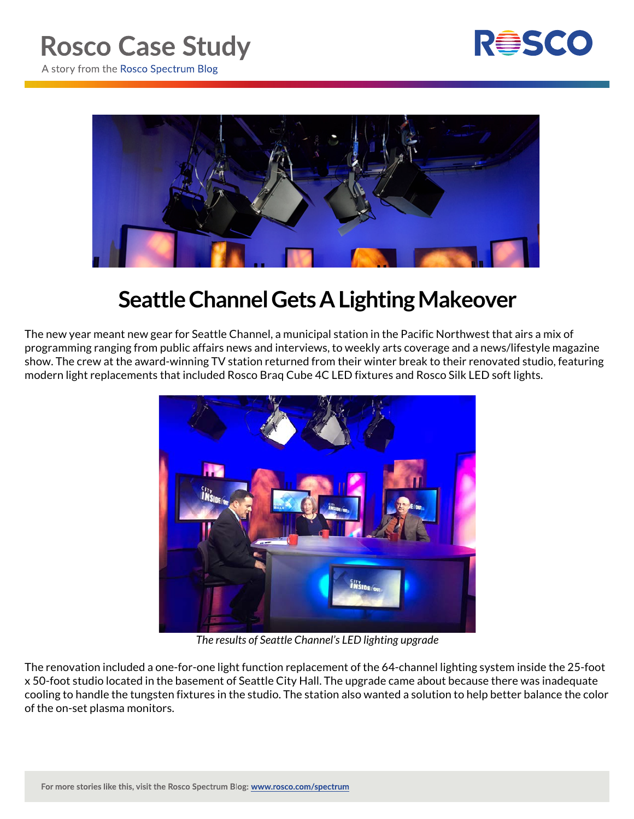



## **Seattle Channel Gets A Lighting Makeover**

The new year meant new gear for Seattle Channel, a municipal station in the Pacific Northwest that airs a mix of programming ranging from public affairs news and interviews, to weekly arts coverage and a news/lifestyle magazine show. The crew at the award-winning TV station returned from their winter break to their renovated studio, featuring modern light replacements that included Rosco Braq Cube 4C LED fixtures and Rosco Silk LED soft lights.



*The results of Seattle Channel's LED lighting upgrade*

The renovation included a one-for-one light function replacement of the 64-channel lighting system inside the 25-foot x 50-foot studio located in the basement of Seattle City Hall. The upgrade came about because there was inadequate cooling to handle the tungsten fixtures in the studio. The station also wanted a solution to help better balance the color of the on-set plasma monitors.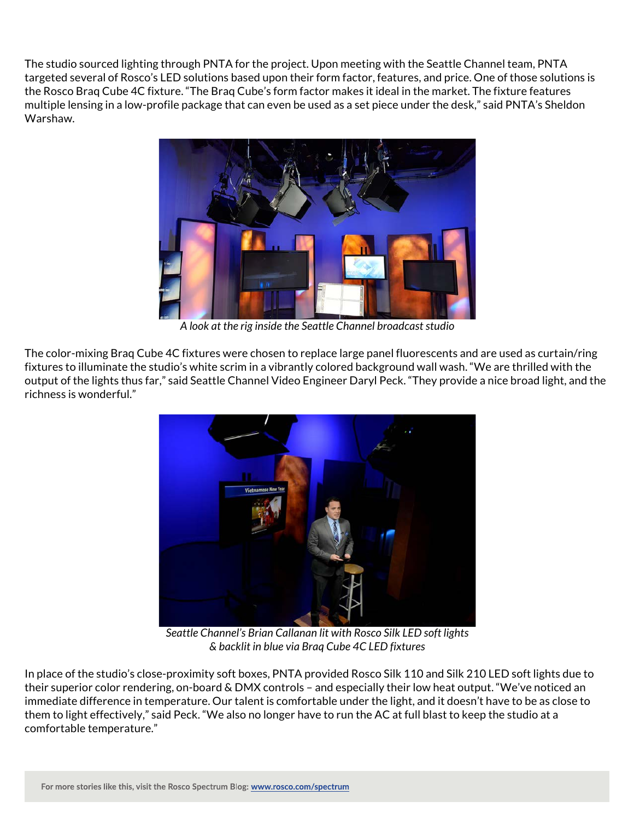The studio sourced lighting through PNTA for the project. Upon meeting with the Seattle Channel team, PNTA targeted several of Rosco's LED solutions based upon their form factor, features, and price. One of those solutions is the Rosco Braq Cube 4C fixture. "The Braq Cube's form factor makes it ideal in the market. The fixture features multiple lensing in a low-profile package that can even be used as a set piece under the desk," said PNTA's Sheldon Warshaw.



*A look at the rig inside the Seattle Channel broadcast studio*

The color-mixing Braq Cube 4C fixtures were chosen to replace large panel fluorescents and are used as curtain/ring fixtures to illuminate the studio's white scrim in a vibrantly colored background wall wash. "We are thrilled with the output of the lights thus far," said Seattle Channel Video Engineer Daryl Peck. "They provide a nice broad light, and the richness is wonderful."



*Seattle Channel's Brian Callanan lit with Rosco Silk LED soft lights & backlit in blue via Braq Cube 4C LED fixtures*

In place of the studio's close-proximity soft boxes, PNTA provided Rosco Silk 110 and Silk 210 LED soft lights due to their superior color rendering, on-board & DMX controls – and especially their low heat output. "We've noticed an immediate difference in temperature. Our talent is comfortable under the light, and it doesn't have to be as close to them to light effectively," said Peck. "We also no longer have to run the AC at full blast to keep the studio at a comfortable temperature."